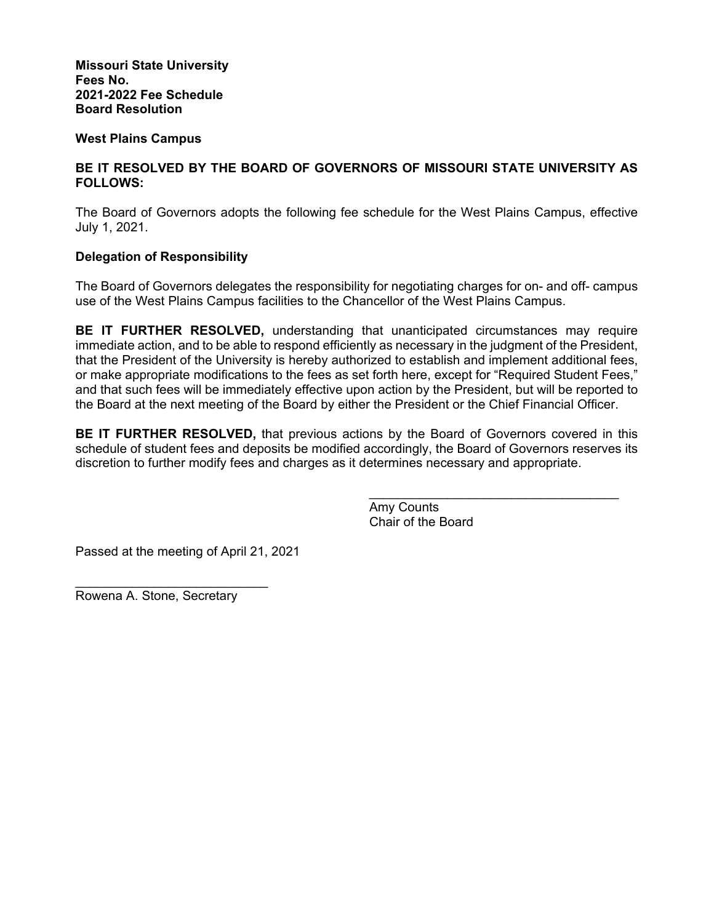**Missouri State University Fees No. 2021-2022 Fee Schedule Board Resolution** 

# **West Plains Campus**

# **BE IT RESOLVED BY THE BOARD OF GOVERNORS OF MISSOURI STATE UNIVERSITY AS FOLLOWS:**

The Board of Governors adopts the following fee schedule for the West Plains Campus, effective July 1, 2021.

# **Delegation of Responsibility**

The Board of Governors delegates the responsibility for negotiating charges for on- and off- campus use of the West Plains Campus facilities to the Chancellor of the West Plains Campus.

**BE IT FURTHER RESOLVED,** understanding that unanticipated circumstances may require immediate action, and to be able to respond efficiently as necessary in the judgment of the President, that the President of the University is hereby authorized to establish and implement additional fees, or make appropriate modifications to the fees as set forth here, except for "Required Student Fees," and that such fees will be immediately effective upon action by the President, but will be reported to the Board at the next meeting of the Board by either the President or the Chief Financial Officer.

**BE IT FURTHER RESOLVED,** that previous actions by the Board of Governors covered in this schedule of student fees and deposits be modified accordingly, the Board of Governors reserves its discretion to further modify fees and charges as it determines necessary and appropriate.

> Amy Counts Chair of the Board

Passed at the meeting of April 21, 2021

Rowena A. Stone, Secretary

 $\mathcal{L}=\mathcal{L}=\mathcal{L}=\mathcal{L}=\mathcal{L}=\mathcal{L}=\mathcal{L}=\mathcal{L}=\mathcal{L}=\mathcal{L}=\mathcal{L}=\mathcal{L}=\mathcal{L}=\mathcal{L}=\mathcal{L}=\mathcal{L}=\mathcal{L}=\mathcal{L}=\mathcal{L}=\mathcal{L}=\mathcal{L}=\mathcal{L}=\mathcal{L}=\mathcal{L}=\mathcal{L}=\mathcal{L}=\mathcal{L}=\mathcal{L}=\mathcal{L}=\mathcal{L}=\mathcal{L}=\mathcal{L}=\mathcal{L}=\mathcal{L}=\mathcal{L}=\mathcal{L}=\mathcal{$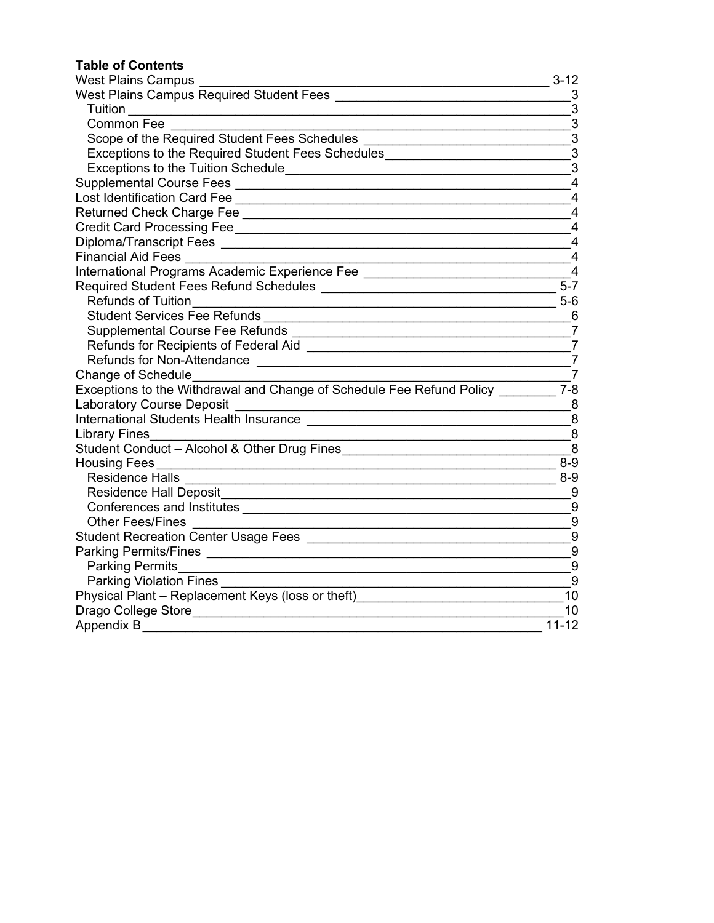# **Table of Contents**

| <b>West Plains Campus</b>                                                                                                                                  | $3 - 12$          |
|------------------------------------------------------------------------------------------------------------------------------------------------------------|-------------------|
|                                                                                                                                                            | 3                 |
| <b>Tuition Example 19</b>                                                                                                                                  | $\mathbf{3}$      |
| <b>Common Fee</b>                                                                                                                                          | $\mathbf{3}$      |
| Scope of the Required Student Fees Schedules                                                                                                               | $\mathbf{3}$      |
| Exceptions to the Required Student Fees Schedules_______________________________                                                                           | $\mathbf{3}$      |
|                                                                                                                                                            | $\mathbf{3}$      |
|                                                                                                                                                            | 4                 |
|                                                                                                                                                            | $\overline{4}$    |
|                                                                                                                                                            | 4                 |
|                                                                                                                                                            | $\overline{4}$    |
|                                                                                                                                                            | 4                 |
| <b>Financial Aid Fees</b>                                                                                                                                  | 4                 |
|                                                                                                                                                            | $\overline{4}$    |
|                                                                                                                                                            | $\overline{5}$ -7 |
| <b>Refunds of Tuition</b>                                                                                                                                  | $5-6$             |
| <b>Student Services Fee Refunds</b>                                                                                                                        | 6                 |
|                                                                                                                                                            | $\overline{7}$    |
|                                                                                                                                                            | $\overline{7}$    |
| <b>Refunds for Non-Attendance</b>                                                                                                                          | $\overline{7}$    |
| Change of Schedule                                                                                                                                         | $\overline{7}$    |
| Exceptions to the Withdrawal and Change of Schedule Fee Refund Policy                                                                                      | $7 - 8$           |
| <b>Laboratory Course Deposit</b><br><u> 1989 - Johann Stoff, deutscher Stoffen und der Stoffen und der Stoffen und der Stoffen und der Stoffen und der</u> | 8                 |
|                                                                                                                                                            | 8                 |
| <b>Library Fines</b>                                                                                                                                       | 8                 |
| Student Conduct - Alcohol & Other Drug Fines                                                                                                               | 8                 |
| <b>Housing Fees</b>                                                                                                                                        | $8-9$             |
| <b>Residence Halls</b><br><u> 1989 - Johann Stein, Amerikaansk politiker († 1908)</u>                                                                      | $8-9$             |
| <b>Residence Hall Deposit</b>                                                                                                                              | 9                 |
|                                                                                                                                                            | 9                 |
| <b>Other Fees/Fines</b>                                                                                                                                    | 9                 |
|                                                                                                                                                            | 9                 |
|                                                                                                                                                            | $9\,$             |
| <b>Parking Permits</b><br><u> 1989 - Johann Stoff, deutscher Stoffen und der Stoffen und der Stoffen und der Stoffen und der Stoffen und der</u>           | $9\,$             |
| Parking Violation Fines [198]                                                                                                                              | 9                 |
| Physical Plant - Replacement Keys (loss or theft)                                                                                                          | 10                |
| Drago College Store                                                                                                                                        | 10                |
| Appendix B                                                                                                                                                 | $11 - 12$         |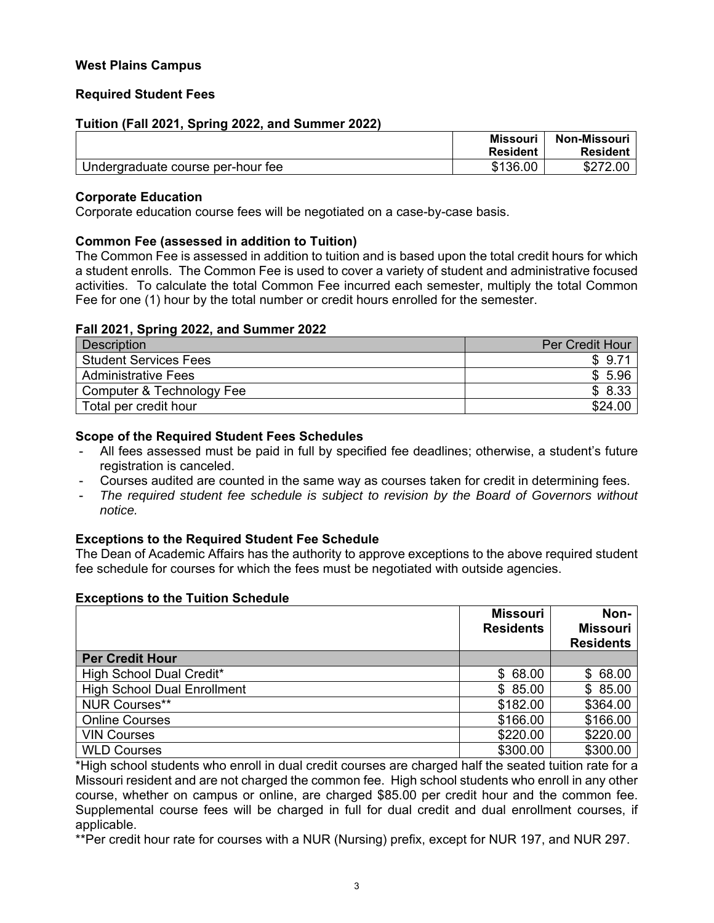# <span id="page-2-0"></span>**West Plains Campus**

# **Required Student Fees**

# **Tuition (Fall 2021, Spring 2022, and Summer 2022)**

|                                   | <b>Missouri</b> | <b>Non-Missouri</b> |
|-----------------------------------|-----------------|---------------------|
|                                   | <b>Resident</b> | <b>Resident</b>     |
| Undergraduate course per-hour fee | \$136.00        | \$272.00            |

#### **Corporate Education**

Corporate education course fees will be negotiated on a case-by-case basis.

#### **Common Fee (assessed in addition to Tuition)**

The Common Fee is assessed in addition to tuition and is based upon the total credit hours for which a student enrolls. The Common Fee is used to cover a variety of student and administrative focused activities. To calculate the total Common Fee incurred each semester, multiply the total Common Fee for one (1) hour by the total number or credit hours enrolled for the semester.

#### **Fall 2021, Spring 2022, and Summer 2022**

| Description                  | Per Credit Hour |
|------------------------------|-----------------|
| <b>Student Services Fees</b> | \$9.71          |
| <b>Administrative Fees</b>   | 5.96            |
| Computer & Technology Fee    | \$8.33          |
| Total per credit hour        | \$24.00         |

#### **Scope of the Required Student Fees Schedules**

- All fees assessed must be paid in full by specified fee deadlines; otherwise, a student's future registration is canceled.
- Courses audited are counted in the same way as courses taken for credit in determining fees.
- *The required student fee schedule is subject to revision by the Board of Governors without notice.*

#### **Exceptions to the Required Student Fee Schedule**

The Dean of Academic Affairs has the authority to approve exceptions to the above required student fee schedule for courses for which the fees must be negotiated with outside agencies.

#### **Exceptions to the Tuition Schedule**

|                                    | <b>Missouri</b><br><b>Residents</b> | Non-<br><b>Missouri</b><br><b>Residents</b> |
|------------------------------------|-------------------------------------|---------------------------------------------|
| <b>Per Credit Hour</b>             |                                     |                                             |
| High School Dual Credit*           | \$68.00                             | \$68.00                                     |
| <b>High School Dual Enrollment</b> | \$85.00                             | \$85.00                                     |
| <b>NUR Courses**</b>               | \$182.00                            | \$364.00                                    |
| <b>Online Courses</b>              | \$166.00                            | \$166.00                                    |
| <b>VIN Courses</b>                 | \$220.00                            | \$220.00                                    |
| <b>WLD Courses</b>                 | \$300.00                            | \$300.00                                    |

\*High school students who enroll in dual credit courses are charged half the seated tuition rate for a Missouri resident and are not charged the common fee. High school students who enroll in any other course, whether on campus or online, are charged \$85.00 per credit hour and the common fee. Supplemental course fees will be charged in full for dual credit and dual enrollment courses, if applicable.

\*\*Per credit hour rate for courses with a NUR (Nursing) prefix, except for NUR 197, and NUR 297.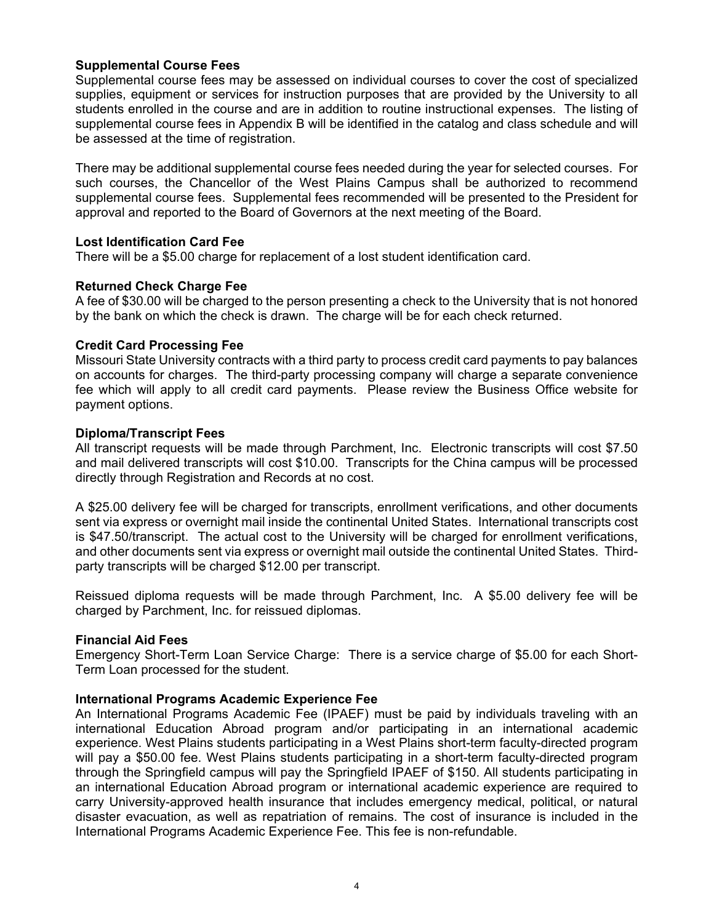# <span id="page-3-0"></span>**Supplemental Course Fees**

Supplemental course fees may be assessed on individual courses to cover the cost of specialized supplies, equipment or services for instruction purposes that are provided by the University to all students enrolled in the course and are in addition to routine instructional expenses. The listing of supplemental course fees in Appendix B will be identified in the catalog and class schedule and will be assessed at the time of registration.

There may be additional supplemental course fees needed during the year for selected courses. For such courses, the Chancellor of the West Plains Campus shall be authorized to recommend supplemental course fees. Supplemental fees recommended will be presented to the President for approval and reported to the Board of Governors at the next meeting of the Board.

#### **Lost Identification Card Fee**

There will be a \$5.00 charge for replacement of a lost student identification card.

# **Returned Check Charge Fee**

A fee of \$30.00 will be charged to the person presenting a check to the University that is not honored by the bank on which the check is drawn. The charge will be for each check returned.

# **Credit Card Processing Fee**

Missouri State University contracts with a third party to process credit card payments to pay balances on accounts for charges. The third-party processing company will charge a separate convenience fee which will apply to all credit card payments. Please review the Business Office website for payment options.

#### **Diploma/Transcript Fees**

All transcript requests will be made through Parchment, Inc. Electronic transcripts will cost \$7.50 and mail delivered transcripts will cost \$10.00. Transcripts for the China campus will be processed directly through Registration and Records at no cost.

A \$25.00 delivery fee will be charged for transcripts, enrollment verifications, and other documents sent via express or overnight mail inside the continental United States. International transcripts cost is \$47.50/transcript. The actual cost to the University will be charged for enrollment verifications, and other documents sent via express or overnight mail outside the continental United States. Thirdparty transcripts will be charged \$12.00 per transcript.

Reissued diploma requests will be made through Parchment, Inc. A \$5.00 delivery fee will be charged by Parchment, Inc. for reissued diplomas.

#### **Financial Aid Fees**

Emergency Short-Term Loan Service Charge: There is a service charge of \$5.00 for each Short-Term Loan processed for the student.

#### **International Programs Academic Experience Fee**

An International Programs Academic Fee (IPAEF) must be paid by individuals traveling with an international Education Abroad program and/or participating in an international academic experience. West Plains students participating in a West Plains short-term faculty-directed program will pay a \$50.00 fee. West Plains students participating in a short-term faculty-directed program through the Springfield campus will pay the Springfield IPAEF of \$150. All students participating in an international Education Abroad program or international academic experience are required to carry University-approved health insurance that includes emergency medical, political, or natural disaster evacuation, as well as repatriation of remains. The cost of insurance is included in the International Programs Academic Experience Fee. This fee is non-refundable.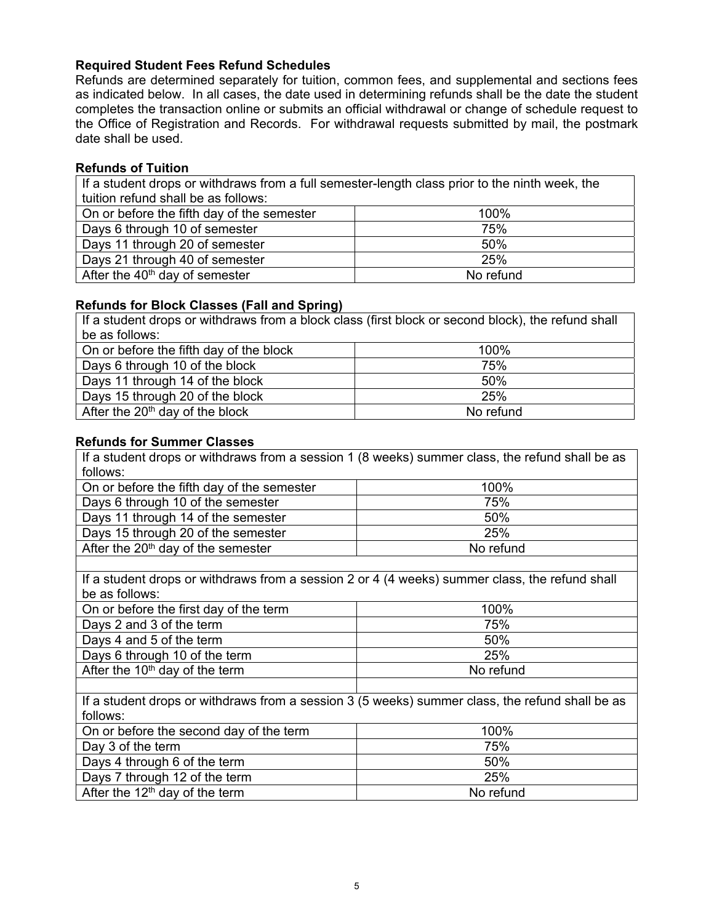# <span id="page-4-0"></span>**Required Student Fees Refund Schedules**

Refunds are determined separately for tuition, common fees, and supplemental and sections fees as indicated below. In all cases, the date used in determining refunds shall be the date the student completes the transaction online or submits an official withdrawal or change of schedule request to the Office of Registration and Records. For withdrawal requests submitted by mail, the postmark date shall be used.

# **Refunds of Tuition**

If a student drops or withdraws from a full semester-length class prior to the ninth week, the tuition refund shall be as follows:

| On or before the fifth day of the semester | 100%      |
|--------------------------------------------|-----------|
| Days 6 through 10 of semester              | 75%       |
| Days 11 through 20 of semester             | 50%       |
| Days 21 through 40 of semester             | 25%       |
| After the $40th$ day of semester           | No refund |

# **Refunds for Block Classes (Fall and Spring)**

If a student drops or withdraws from a block class (first block or second block), the refund shall be as follows: On or before the fifth day of the block 100% Days 6 through 10 of the block **The Contract Contract 1** and the T<sub>5</sub>% Days 11 through 14 of the block 50% Days 15 through 20 of the block **25%** After the  $20<sup>th</sup>$  day of the block  $\blacksquare$  No refund

# **Refunds for Summer Classes**

If a student drops or withdraws from a session 1 (8 weeks) summer class, the refund shall be as follows:

| On or before the fifth day of the semester | 100%      |
|--------------------------------------------|-----------|
| Days 6 through 10 of the semester          | 75%       |
| Days 11 through 14 of the semester         | 50%       |
| Days 15 through 20 of the semester         | 25%       |
| After the $20th$ day of the semester       | No refund |

If a student drops or withdraws from a session 2 or 4 (4 weeks) summer class, the refund shall be as follows:

| On or before the first day of the term | 100%      |
|----------------------------------------|-----------|
| Days 2 and 3 of the term               | 75%       |
| Days 4 and 5 of the term               | 50%       |
| Days 6 through 10 of the term          | 25%       |
| After the $10th$ day of the term       | No refund |
|                                        |           |

If a student drops or withdraws from a session 3 (5 weeks) summer class, the refund shall be as follows:

| On or before the second day of the term    | 100%      |
|--------------------------------------------|-----------|
| Day 3 of the term                          | 75%       |
| Days 4 through 6 of the term               | 50%       |
| Days 7 through 12 of the term              | 25%       |
| After the 12 <sup>th</sup> day of the term | No refund |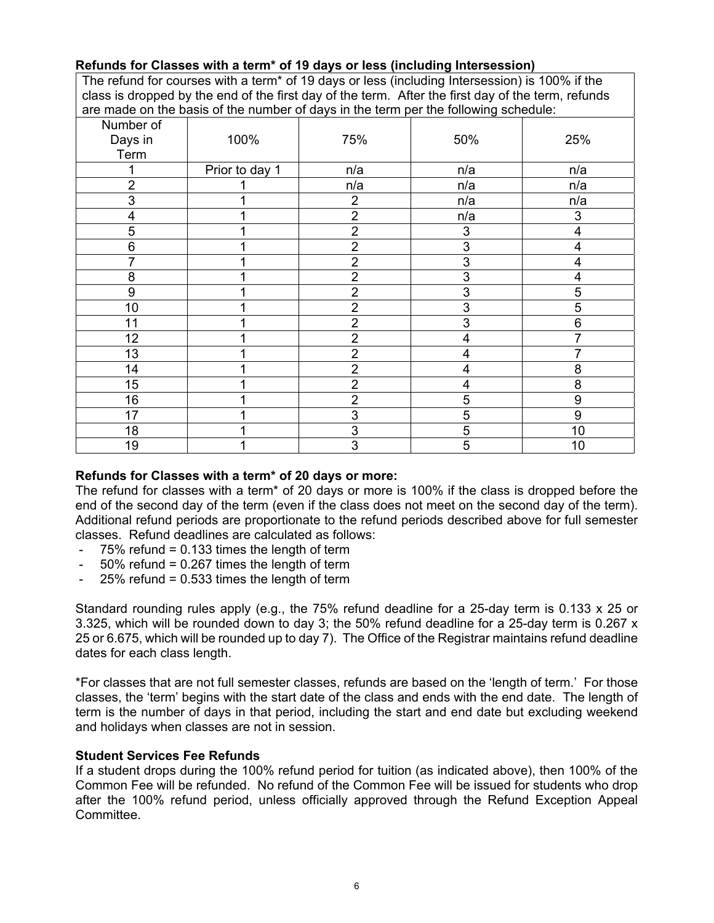# <span id="page-5-0"></span>**Refunds for Classes with a term\* of 19 days or less (including Intersession)**

The refund for courses with a term\* of 19 days or less (including Intersession) is 100% if the class is dropped by the end of the first day of the term. After the first day of the term, refunds are made on the basis of the number of days in the term per the following schedule:

| Number of        |                |                |                         |                  |
|------------------|----------------|----------------|-------------------------|------------------|
| Days in          | 100%           | 75%            | 50%                     | 25%              |
| Term             |                |                |                         |                  |
| 1                | Prior to day 1 | n/a            | n/a                     | n/a              |
| $\overline{2}$   |                | n/a            | n/a                     | n/a              |
| 3                |                | $\overline{2}$ | n/a                     | n/a              |
| $\overline{4}$   |                | $\overline{2}$ | n/a                     | 3                |
| 5                |                | $\overline{2}$ | 3                       | 4                |
| 6                |                | $\overline{2}$ | $\overline{3}$          | 4                |
| $\overline{7}$   |                | $\overline{2}$ | 3                       | 4                |
| 8                |                | $\overline{2}$ | 3                       | 4                |
| $\boldsymbol{9}$ |                | $\overline{2}$ | 3                       | 5                |
| 10               |                | $\overline{2}$ | 3                       | 5                |
| 11               |                | $\overline{2}$ | $\overline{3}$          | 6                |
| 12               |                | $\overline{2}$ | $\overline{4}$          | 7                |
| 13               |                | $\overline{2}$ | $\overline{\mathbf{4}}$ |                  |
| 14               |                | $\overline{2}$ | $\overline{\mathbf{4}}$ | 8                |
| 15               |                | $\overline{2}$ | 4                       | 8                |
| 16               |                | $\overline{2}$ | 5                       | 9                |
| 17               |                | $\overline{3}$ | $\overline{5}$          | $\boldsymbol{9}$ |
| 18               |                | 3              | 5                       | 10               |
| 19               |                | 3              | $\overline{5}$          | 10               |

# **Refunds for Classes with a term\* of 20 days or more:**

The refund for classes with a term\* of 20 days or more is 100% if the class is dropped before the end of the second day of the term (even if the class does not meet on the second day of the term). Additional refund periods are proportionate to the refund periods described above for full semester classes. Refund deadlines are calculated as follows:<br>-  $75\%$  refund = 0.133 times the length of term

- $75\%$  refund = 0.133 times the length of term
- $50\%$  refund = 0.267 times the length of term
- $-$  25% refund = 0.533 times the length of term

Standard rounding rules apply (e.g., the 75% refund deadline for a 25-day term is 0.133 x 25 or 3.325, which will be rounded down to day 3; the 50% refund deadline for a 25-day term is 0.267 x 25 or 6.675, which will be rounded up to day 7). The Office of the Registrar maintains refund deadline dates for each class length.

\*For classes that are not full semester classes, refunds are based on the 'length of term.' For those classes, the 'term' begins with the start date of the class and ends with the end date. The length of term is the number of days in that period, including the start and end date but excluding weekend and holidays when classes are not in session.

#### **Student Services Fee Refunds**

If a student drops during the 100% refund period for tuition (as indicated above), then 100% of the Common Fee will be refunded. No refund of the Common Fee will be issued for students who drop after the 100% refund period, unless officially approved through the Refund Exception Appeal Committee.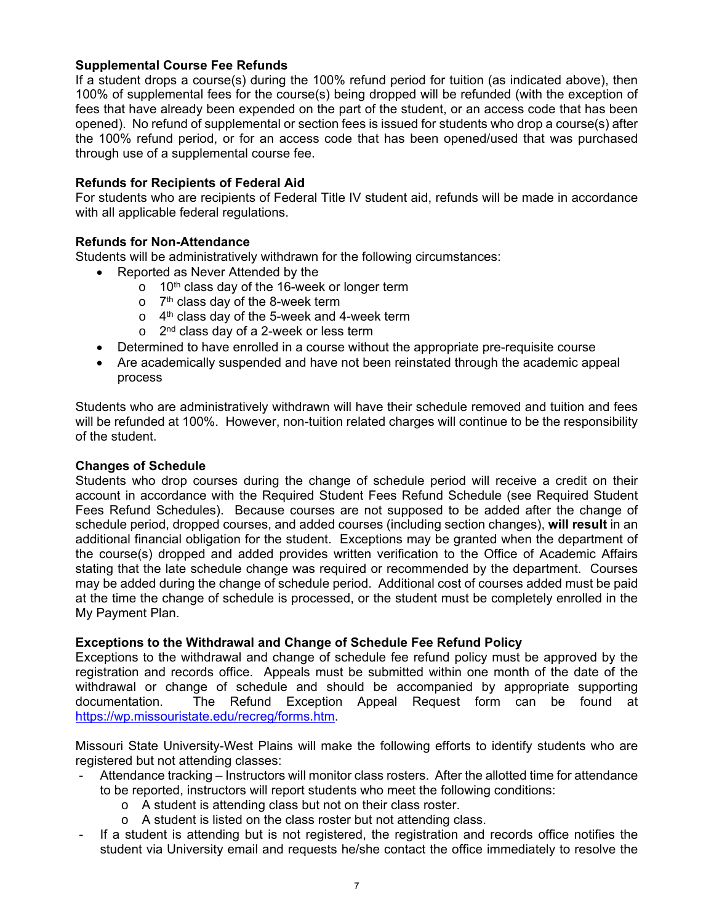# <span id="page-6-0"></span>**Supplemental Course Fee Refunds**

If a student drops a course(s) during the 100% refund period for tuition (as indicated above), then 100% of supplemental fees for the course(s) being dropped will be refunded (with the exception of fees that have already been expended on the part of the student, or an access code that has been opened). No refund of supplemental or section fees is issued for students who drop a course(s) after the 100% refund period, or for an access code that has been opened/used that was purchased through use of a supplemental course fee.

# **Refunds for Recipients of Federal Aid**

For students who are recipients of Federal Title IV student aid, refunds will be made in accordance with all applicable federal regulations.

# **Refunds for Non-Attendance**

Students will be administratively withdrawn for the following circumstances:

- Reported as Never Attended by the
	- $\circ$  10<sup>th</sup> class day of the 16-week or longer term
	- $\circ$  7<sup>th</sup> class day of the 8-week term
	- $\circ$  4<sup>th</sup> class day of the 5-week and 4-week term
	- $\circ$  2<sup>nd</sup> class day of a 2-week or less term
- Determined to have enrolled in a course without the appropriate pre-requisite course
- Are academically suspended and have not been reinstated through the academic appeal process

Students who are administratively withdrawn will have their schedule removed and tuition and fees will be refunded at 100%. However, non-tuition related charges will continue to be the responsibility of the student.

#### **Changes of Schedule**

Students who drop courses during the change of schedule period will receive a credit on their account in accordance with the Required Student Fees Refund Schedule (see Required Student Fees Refund Schedules). Because courses are not supposed to be added after the change of schedule period, dropped courses, and added courses (including section changes), **will result** in an additional financial obligation for the student. Exceptions may be granted when the department of the course(s) dropped and added provides written verification to the Office of Academic Affairs stating that the late schedule change was required or recommended by the department. Courses may be added during the change of schedule period. Additional cost of courses added must be paid at the time the change of schedule is processed, or the student must be completely enrolled in the My Payment Plan.

#### **Exceptions to the Withdrawal and Change of Schedule Fee Refund Policy**

Exceptions to the withdrawal and change of schedule fee refund policy must be approved by the registration and records office. Appeals must be submitted within one month of the date of the withdrawal or change of schedule and should be accompanied by appropriate supporting documentation. The Refund Exception Appeal Request form can be found at https://wp.missouristate.edu/recreg/forms.htm.

Missouri State University-West Plains will make the following efforts to identify students who are registered but not attending classes:

- Attendance tracking Instructors will monitor class rosters. After the allotted time for attendance to be reported, instructors will report students who meet the following conditions:
	- o A student is attending class but not on their class roster.
	- o A student is listed on the class roster but not attending class.
- If a student is attending but is not registered, the registration and records office notifies the student via University email and requests he/she contact the office immediately to resolve the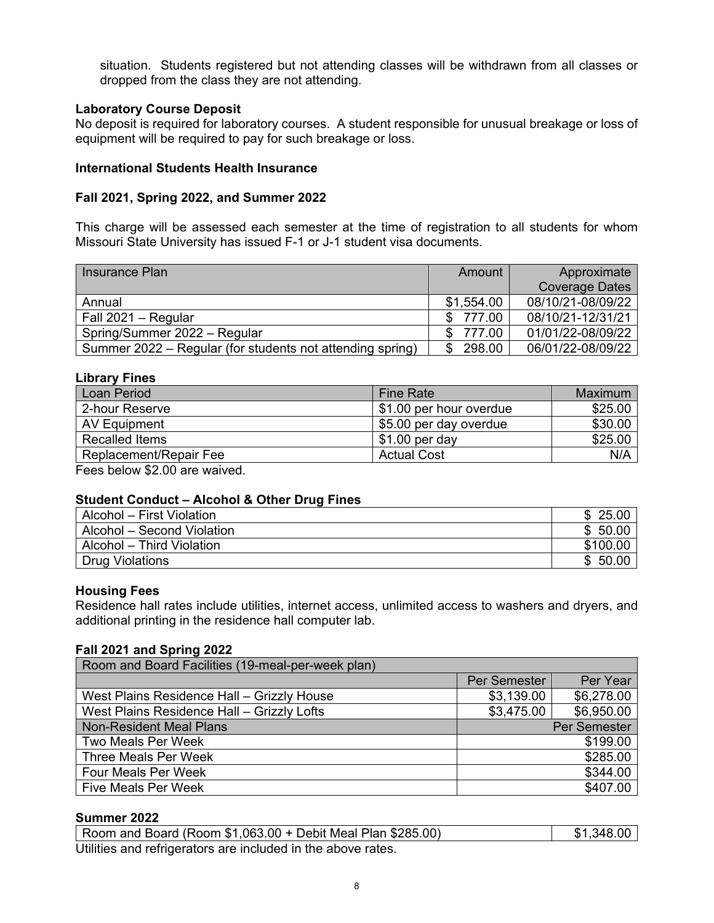<span id="page-7-0"></span>situation. Students registered but not attending classes will be withdrawn from all classes or dropped from the class they are not attending.

# **Laboratory Course Deposit**

No deposit is required for laboratory courses. A student responsible for unusual breakage or loss of equipment will be required to pay for such breakage or loss.

# **International Students Health Insurance**

#### **Fall 2021, Spring 2022, and Summer 2022**

This charge will be assessed each semester at the time of registration to all students for whom Missouri State University has issued F-1 or J-1 student visa documents.

| Insurance Plan                                            | Amount     | Approximate           |
|-----------------------------------------------------------|------------|-----------------------|
|                                                           |            | <b>Coverage Dates</b> |
| Annual                                                    | \$1,554.00 | 08/10/21-08/09/22     |
| Fall 2021 - Regular                                       | \$777.00   | 08/10/21-12/31/21     |
| Spring/Summer 2022 - Regular                              | \$ 777.00  | 01/01/22-08/09/22     |
| Summer 2022 – Regular (for students not attending spring) | \$298.00   | 06/01/22-08/09/22     |

# **Library Fines**

| <b>Fine Rate</b>        | Maximum |
|-------------------------|---------|
| \$1.00 per hour overdue | \$25.00 |
| \$5.00 per day overdue  | \$30.00 |
| $$1.00$ per day         | \$25.00 |
| <b>Actual Cost</b>      | N/A     |
|                         |         |

Fees below \$2.00 are waived.

# **Student Conduct – Alcohol & Other Drug Fines**

| Alcohol – First Violation  | 25.00<br>\$. |
|----------------------------|--------------|
| Alcohol – Second Violation | \$50.00      |
| Alcohol – Third Violation  | \$100.00     |
| Drug Violations            | \$50.00      |

#### **Housing Fees**

Residence hall rates include utilities, internet access, unlimited access to washers and dryers, and additional printing in the residence hall computer lab.

#### **Fall 2021 and Spring 2022**

| Room and Board Facilities (19-meal-per-week plan) |                          |            |  |  |
|---------------------------------------------------|--------------------------|------------|--|--|
|                                                   | Per Semester             | Per Year   |  |  |
| West Plains Residence Hall - Grizzly House        | \$3,139.00               | \$6,278.00 |  |  |
| West Plains Residence Hall - Grizzly Lofts        | \$6,950.00<br>\$3,475.00 |            |  |  |
| <b>Non-Resident Meal Plans</b>                    | Per Semester             |            |  |  |
| <b>Two Meals Per Week</b>                         | \$199.00                 |            |  |  |
| Three Meals Per Week                              | \$285.00                 |            |  |  |
| <b>Four Meals Per Week</b>                        | \$344.00                 |            |  |  |
| <b>Five Meals Per Week</b>                        |                          | \$407.00   |  |  |

# **Summer 2022**

| Room and Board (Room $$1,063.00 +$ Debit Meal Plan $$285.00$ ) | \$1,348.00 |
|----------------------------------------------------------------|------------|
| Utilities and refrigerators are included in the above rates.   |            |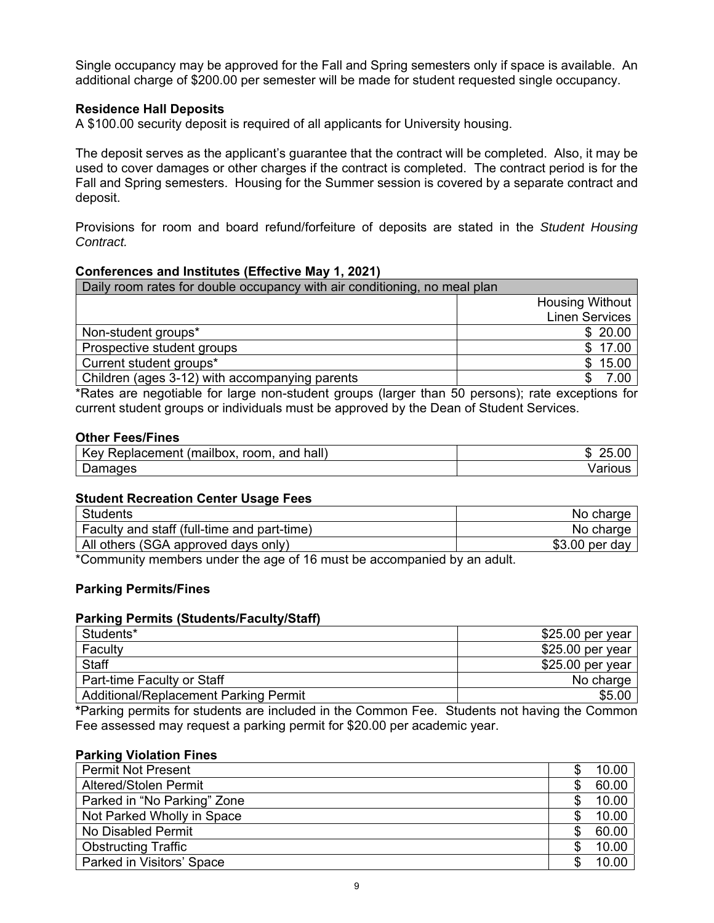<span id="page-8-0"></span>Single occupancy may be approved for the Fall and Spring semesters only if space is available. An additional charge of \$200.00 per semester will be made for student requested single occupancy.

# **Residence Hall Deposits**

A \$100.00 security deposit is required of all applicants for University housing.

The deposit serves as the applicant's guarantee that the contract will be completed. Also, it may be used to cover damages or other charges if the contract is completed. The contract period is for the Fall and Spring semesters. Housing for the Summer session is covered by a separate contract and deposit.

Provisions for room and board refund/forfeiture of deposits are stated in the *Student Housing Contract.* 

#### **Conferences and Institutes (Effective May 1, 2021)**

| Daily room rates for double occupancy with air conditioning, no meal plan |                        |  |  |  |
|---------------------------------------------------------------------------|------------------------|--|--|--|
|                                                                           | <b>Housing Without</b> |  |  |  |
|                                                                           | <b>Linen Services</b>  |  |  |  |
| Non-student groups*                                                       | \$20.00                |  |  |  |
| Prospective student groups                                                | \$17.00                |  |  |  |
| Current student groups*                                                   | \$15.00                |  |  |  |
| Children (ages 3-12) with accompanying parents                            | 7.00                   |  |  |  |

\*Rates are negotiable for large non-student groups (larger than 50 persons); rate exceptions for current student groups or individuals must be approved by the Dean of Student Services.

#### **Other Fees/Fines**

| hall)<br>Key<br>room.<br>(mailbox.<br>Replacement<br>and | د.      |
|----------------------------------------------------------|---------|
| Damades                                                  | /arıous |

#### **Student Recreation Center Usage Fees**

| <b>Students</b>                             | No charge       |
|---------------------------------------------|-----------------|
| Faculty and staff (full-time and part-time) | No charge       |
| All others (SGA approved days only)         | $$3.00$ per day |

\*Community members under the age of 16 must be accompanied by an adult.

#### **Parking Permits/Fines**

#### **Parking Permits (Students/Faculty/Staff)**

| Students*                                    | $$25.00$ per year |
|----------------------------------------------|-------------------|
| Faculty                                      | $$25.00$ per year |
| Staff                                        | $$25.00$ per year |
| Part-time Faculty or Staff                   | No charge         |
| <b>Additional/Replacement Parking Permit</b> | \$5.00            |
| $\overline{\phantom{0}}$                     | .<br>.<br>.       |

**\***Parking permits for students are included in the Common Fee. Students not having the Common Fee assessed may request a parking permit for \$20.00 per academic year.

#### **Parking Violation Fines**

| <b>Permit Not Present</b>    | 10.00 |
|------------------------------|-------|
| <b>Altered/Stolen Permit</b> | 60.00 |
| Parked in "No Parking" Zone  | 10.00 |
| Not Parked Wholly in Space   | 10.00 |
| No Disabled Permit           | 60.00 |
| <b>Obstructing Traffic</b>   | 10.00 |
| Parked in Visitors' Space    | 10.00 |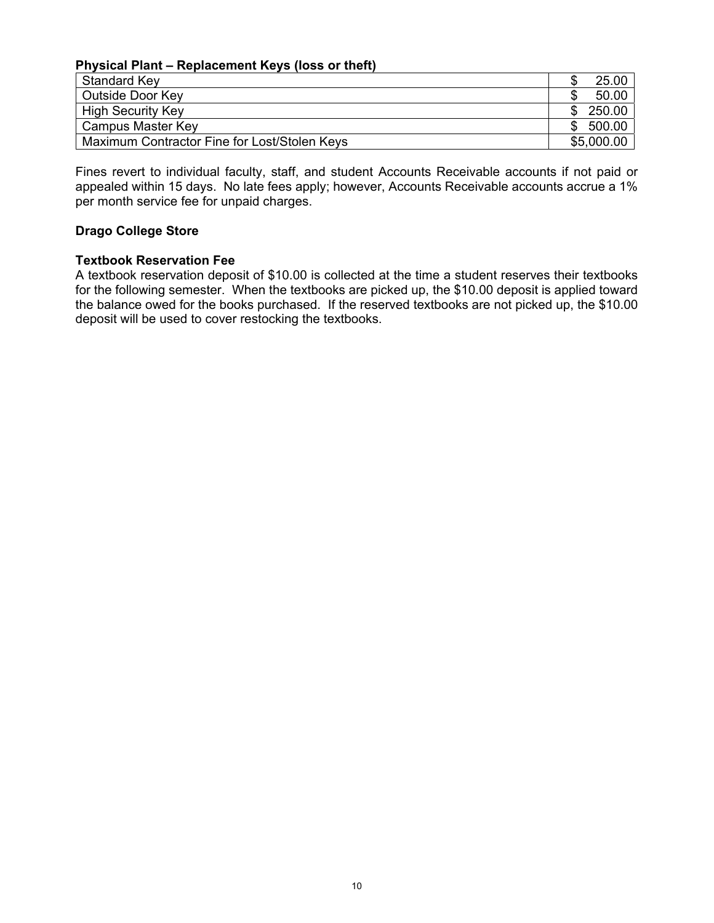#### <span id="page-9-0"></span>**Physical Plant – Replacement Keys (loss or theft)**

| Standard Key                                 |     | 25.00      |
|----------------------------------------------|-----|------------|
| Outside Door Key                             |     | 50.00      |
| <b>High Security Key</b>                     | \$. | 250.00     |
| Campus Master Key                            | \$. | 500.00     |
| Maximum Contractor Fine for Lost/Stolen Keys |     | \$5,000.00 |

Fines revert to individual faculty, staff, and student Accounts Receivable accounts if not paid or appealed within 15 days. No late fees apply; however, Accounts Receivable accounts accrue a 1% per month service fee for unpaid charges.

# **Drago College Store**

# **Textbook Reservation Fee**

A textbook reservation deposit of \$10.00 is collected at the time a student reserves their textbooks for the following semester. When the textbooks are picked up, the \$10.00 deposit is applied toward the balance owed for the books purchased. If the reserved textbooks are not picked up, the \$10.00 deposit will be used to cover restocking the textbooks.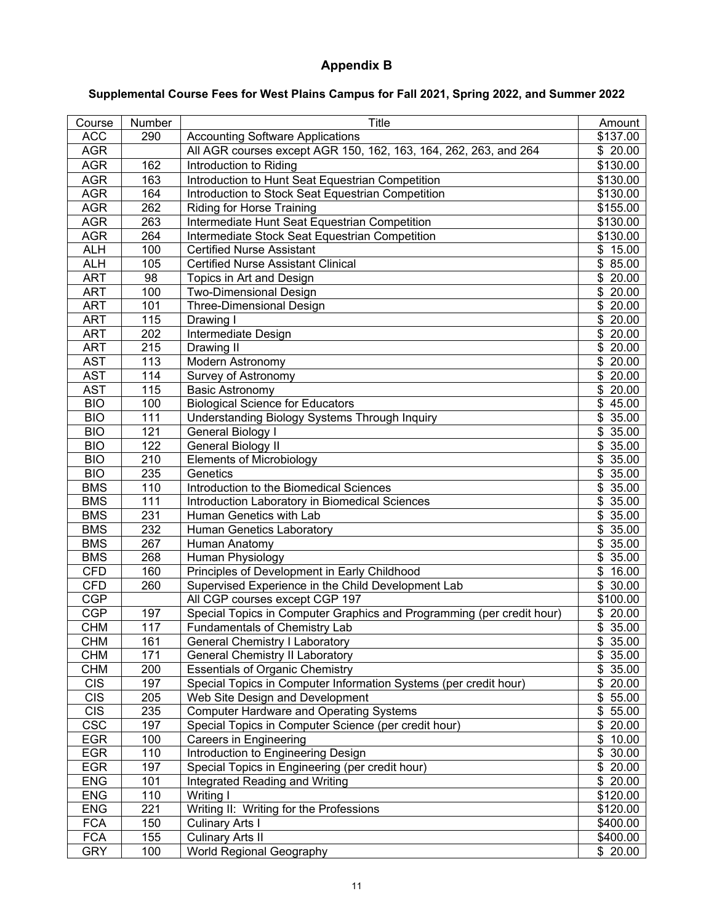# **Appendix B**

# <span id="page-10-0"></span>**Supplemental Course Fees for West Plains Campus for Fall 2021, Spring 2022, and Summer 2022**

| Course     | Number | <b>Title</b>                                                          | Amount               |
|------------|--------|-----------------------------------------------------------------------|----------------------|
| <b>ACC</b> | 290    | <b>Accounting Software Applications</b>                               | \$137.00             |
| <b>AGR</b> |        | All AGR courses except AGR 150, 162, 163, 164, 262, 263, and 264      | \$20.00              |
| <b>AGR</b> | 162    | Introduction to Riding                                                | \$130.00             |
| <b>AGR</b> | 163    | Introduction to Hunt Seat Equestrian Competition                      | \$130.00             |
| <b>AGR</b> | 164    | Introduction to Stock Seat Equestrian Competition                     | \$130.00             |
| <b>AGR</b> | 262    | Riding for Horse Training                                             | $\overline{$}155.00$ |
| <b>AGR</b> | 263    | Intermediate Hunt Seat Equestrian Competition                         | \$130.00             |
| <b>AGR</b> | 264    | Intermediate Stock Seat Equestrian Competition                        | $\overline{$}130.00$ |
| <b>ALH</b> | 100    | <b>Certified Nurse Assistant</b>                                      | $\sqrt{$}3$ 15.00    |
| <b>ALH</b> | 105    | <b>Certified Nurse Assistant Clinical</b>                             | $\sqrt{$}85.00$      |
| <b>ART</b> | 98     | Topics in Art and Design                                              | \$20.00              |
| <b>ART</b> | 100    | <b>Two-Dimensional Design</b>                                         | \$20.00              |
| <b>ART</b> | 101    | <b>Three-Dimensional Design</b>                                       | $\sqrt{$}$ 20.00     |
| <b>ART</b> | 115    | Drawing I                                                             | \$20.00              |
| <b>ART</b> | 202    | Intermediate Design                                                   | \$20.00              |
| <b>ART</b> | 215    | Drawing II                                                            | \$20.00              |
| <b>AST</b> | 113    | <b>Modern Astronomy</b>                                               | \$20.00              |
| <b>AST</b> | 114    | Survey of Astronomy                                                   | \$20.00              |
| <b>AST</b> | 115    | <b>Basic Astronomy</b>                                                | \$20.00              |
| <b>BIO</b> | 100    | <b>Biological Science for Educators</b>                               | $\sqrt{$}45.00$      |
| <b>BIO</b> | 111    | <b>Understanding Biology Systems Through Inquiry</b>                  | $\overline{$}35.00$  |
| <b>BIO</b> | 121    | General Biology I                                                     | \$35.00              |
| <b>BIO</b> | 122    | General Biology II                                                    | \$35.00              |
| <b>BIO</b> | 210    | <b>Elements of Microbiology</b>                                       | \$35.00              |
| <b>BIO</b> | 235    | Genetics                                                              | \$35.00              |
| <b>BMS</b> | 110    | Introduction to the Biomedical Sciences                               | \$35.00              |
| <b>BMS</b> | 111    | Introduction Laboratory in Biomedical Sciences                        | \$35.00              |
| <b>BMS</b> | 231    | Human Genetics with Lab                                               | \$35.00              |
| <b>BMS</b> | 232    | Human Genetics Laboratory                                             | \$35.00              |
| <b>BMS</b> | 267    | Human Anatomy                                                         | \$35.00              |
| <b>BMS</b> | 268    | Human Physiology                                                      | \$35.00              |
| <b>CFD</b> | 160    | Principles of Development in Early Childhood                          | \$16.00              |
| <b>CFD</b> | 260    | Supervised Experience in the Child Development Lab                    | \$30.00              |
| CGP        |        | All CGP courses except CGP 197                                        | \$100.00             |
| <b>CGP</b> | 197    | Special Topics in Computer Graphics and Programming (per credit hour) | \$20.00              |
| <b>CHM</b> | 117    | Fundamentals of Chemistry Lab                                         | $\sqrt{$}35.00$      |
| <b>CHM</b> | 161    | <b>General Chemistry I Laboratory</b>                                 | \$35.00              |
| <b>CHM</b> | 171    | <b>General Chemistry II Laboratory</b>                                | \$35.00              |
| <b>CHM</b> | 200    | <b>Essentials of Organic Chemistry</b>                                | \$35.00              |
| <b>CIS</b> | 197    | Special Topics in Computer Information Systems (per credit hour)      | \$20.00              |
| <b>CIS</b> | 205    | Web Site Design and Development                                       | \$55.00              |
| <b>CIS</b> | 235    | <b>Computer Hardware and Operating Systems</b>                        | \$55.00              |
| <b>CSC</b> | 197    | Special Topics in Computer Science (per credit hour)                  | \$20.00              |
| <b>EGR</b> | 100    | <b>Careers in Engineering</b>                                         | \$10.00              |
| <b>EGR</b> | 110    | Introduction to Engineering Design                                    | \$30.00              |
| <b>EGR</b> | 197    | Special Topics in Engineering (per credit hour)                       | \$20.00              |
| <b>ENG</b> | 101    | Integrated Reading and Writing                                        | \$20.00              |
| <b>ENG</b> | 110    | Writing I                                                             | \$120.00             |
| <b>ENG</b> | 221    | Writing II: Writing for the Professions                               | \$120.00             |
| <b>FCA</b> | 150    | <b>Culinary Arts I</b>                                                | \$400.00             |
| <b>FCA</b> | 155    | <b>Culinary Arts II</b>                                               | \$400.00             |
| <b>GRY</b> | 100    | <b>World Regional Geography</b>                                       | \$20.00              |